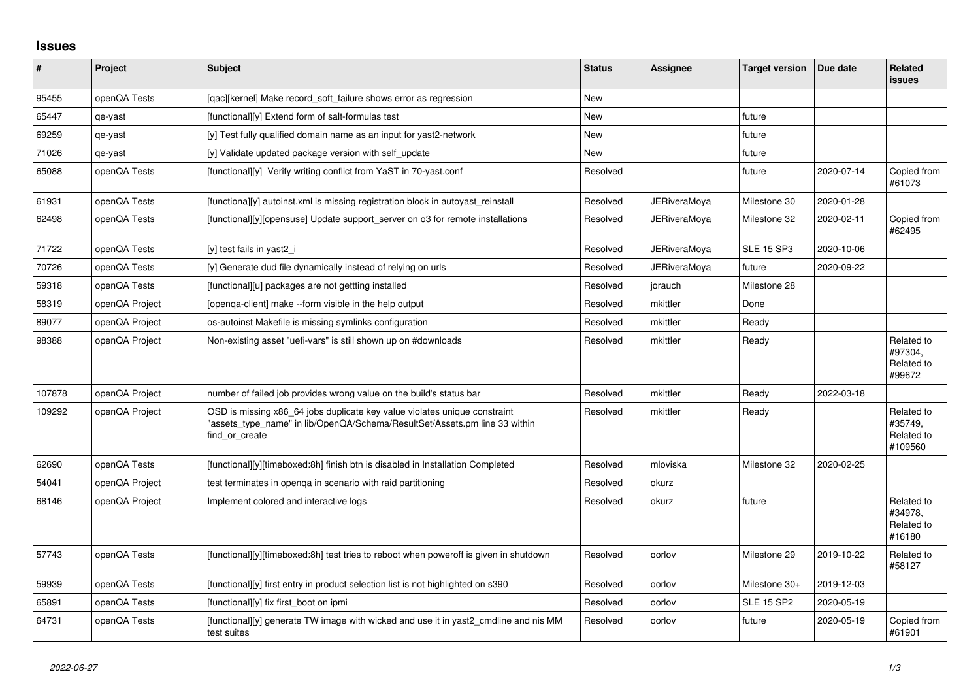## **Issues**

| #      | Project        | <b>Subject</b>                                                                                                                                                            | <b>Status</b> | <b>Assignee</b>     | <b>Target version</b> | Due date   | <b>Related</b><br><b>issues</b>                |
|--------|----------------|---------------------------------------------------------------------------------------------------------------------------------------------------------------------------|---------------|---------------------|-----------------------|------------|------------------------------------------------|
| 95455  | openQA Tests   | [gac][kernel] Make record soft failure shows error as regression                                                                                                          | New           |                     |                       |            |                                                |
| 65447  | qe-yast        | [functional][y] Extend form of salt-formulas test                                                                                                                         | New           |                     | future                |            |                                                |
| 69259  | qe-yast        | [y] Test fully qualified domain name as an input for yast2-network                                                                                                        | New           |                     | future                |            |                                                |
| 71026  | qe-yast        | [y] Validate updated package version with self_update                                                                                                                     | New           |                     | future                |            |                                                |
| 65088  | openQA Tests   | [functional][y] Verify writing conflict from YaST in 70-yast.conf                                                                                                         | Resolved      |                     | future                | 2020-07-14 | Copied from<br>#61073                          |
| 61931  | openQA Tests   | [functiona][y] autoinst.xml is missing registration block in autoyast reinstall                                                                                           | Resolved      | JERiveraMova        | Milestone 30          | 2020-01-28 |                                                |
| 62498  | openQA Tests   | [functional][y][opensuse] Update support_server on o3 for remote installations                                                                                            | Resolved      | <b>JERiveraMova</b> | Milestone 32          | 2020-02-11 | Copied from<br>#62495                          |
| 71722  | openQA Tests   | [y] test fails in yast2 i                                                                                                                                                 | Resolved      | JERiveraMova        | <b>SLE 15 SP3</b>     | 2020-10-06 |                                                |
| 70726  | openQA Tests   | [y] Generate dud file dynamically instead of relying on urls                                                                                                              | Resolved      | JERiveraMoya        | future                | 2020-09-22 |                                                |
| 59318  | openQA Tests   | [functional][u] packages are not gettting installed                                                                                                                       | Resolved      | jorauch             | Milestone 28          |            |                                                |
| 58319  | openQA Project | Topenga-client] make --form visible in the help output                                                                                                                    | Resolved      | mkittler            | Done                  |            |                                                |
| 89077  | openQA Project | os-autoinst Makefile is missing symlinks configuration                                                                                                                    | Resolved      | mkittler            | Ready                 |            |                                                |
| 98388  | openQA Project | Non-existing asset "uefi-vars" is still shown up on #downloads                                                                                                            | Resolved      | mkittler            | Ready                 |            | Related to<br>#97304,<br>Related to<br>#99672  |
| 107878 | openQA Project | number of failed job provides wrong value on the build's status bar                                                                                                       | Resolved      | mkittler            | Ready                 | 2022-03-18 |                                                |
| 109292 | openQA Project | OSD is missing x86_64 jobs duplicate key value violates unique constraint<br>'assets type name" in lib/OpenQA/Schema/ResultSet/Assets.pm line 33 within<br>find or create | Resolved      | mkittler            | Ready                 |            | Related to<br>#35749,<br>Related to<br>#109560 |
| 62690  | openQA Tests   | [functional][y][timeboxed:8h] finish btn is disabled in Installation Completed                                                                                            | Resolved      | mloviska            | Milestone 32          | 2020-02-25 |                                                |
| 54041  | openQA Project | test terminates in openga in scenario with raid partitioning                                                                                                              | Resolved      | okurz               |                       |            |                                                |
| 68146  | openQA Project | Implement colored and interactive logs                                                                                                                                    | Resolved      | okurz               | future                |            | Related to<br>#34978,<br>Related to<br>#16180  |
| 57743  | openQA Tests   | [functional][y][timeboxed:8h] test tries to reboot when poweroff is given in shutdown                                                                                     | Resolved      | oorlov              | Milestone 29          | 2019-10-22 | Related to<br>#58127                           |
| 59939  | openQA Tests   | [functional][y] first entry in product selection list is not highlighted on s390                                                                                          | Resolved      | oorlov              | Milestone 30+         | 2019-12-03 |                                                |
| 65891  | openQA Tests   | [functional][y] fix first boot on ipmi                                                                                                                                    | Resolved      | oorlov              | <b>SLE 15 SP2</b>     | 2020-05-19 |                                                |
| 64731  | openQA Tests   | [functional][y] generate TW image with wicked and use it in yast2_cmdline and nis MM<br>test suites                                                                       | Resolved      | oorlov              | future                | 2020-05-19 | Copied from<br>#61901                          |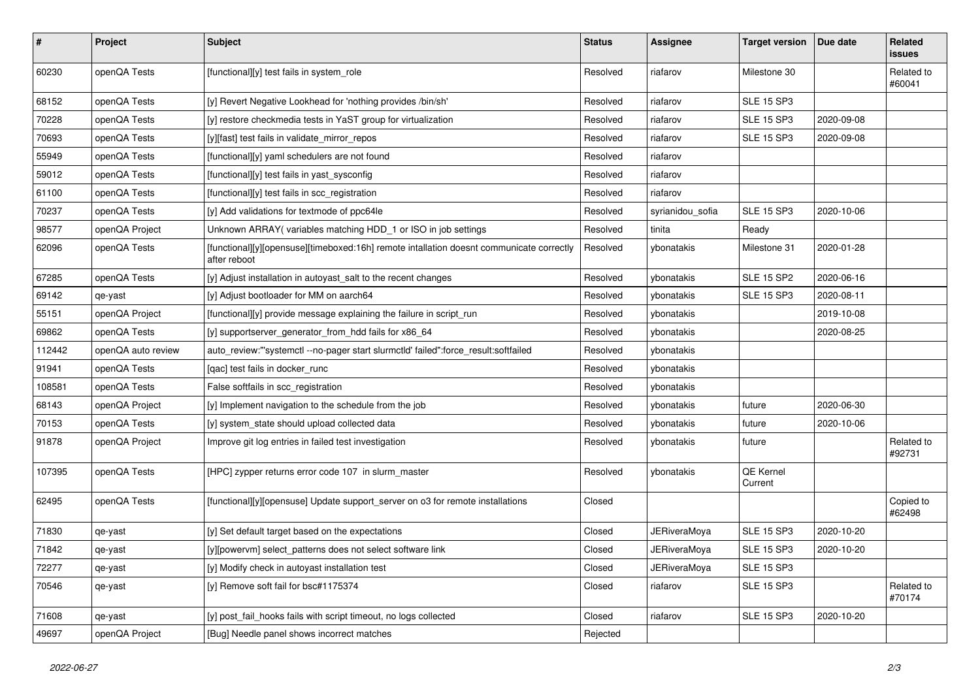| ∦      | Project            | <b>Subject</b>                                                                                           | <b>Status</b> | <b>Assignee</b>  | <b>Target version</b> | Due date   | Related<br>issues    |
|--------|--------------------|----------------------------------------------------------------------------------------------------------|---------------|------------------|-----------------------|------------|----------------------|
| 60230  | openQA Tests       | [functional][y] test fails in system role                                                                | Resolved      | riafarov         | Milestone 30          |            | Related to<br>#60041 |
| 68152  | openQA Tests       | [y] Revert Negative Lookhead for 'nothing provides /bin/sh'                                              | Resolved      | riafarov         | <b>SLE 15 SP3</b>     |            |                      |
| 70228  | openQA Tests       | [y] restore checkmedia tests in YaST group for virtualization                                            | Resolved      | riafarov         | <b>SLE 15 SP3</b>     | 2020-09-08 |                      |
| 70693  | openQA Tests       | [y][fast] test fails in validate_mirror_repos                                                            | Resolved      | riafarov         | <b>SLE 15 SP3</b>     | 2020-09-08 |                      |
| 55949  | openQA Tests       | [functional][y] yaml schedulers are not found                                                            | Resolved      | riafarov         |                       |            |                      |
| 59012  | openQA Tests       | [functional][y] test fails in yast_sysconfig                                                             | Resolved      | riafarov         |                       |            |                      |
| 61100  | openQA Tests       | [functional][y] test fails in scc_registration                                                           | Resolved      | riafarov         |                       |            |                      |
| 70237  | openQA Tests       | [y] Add validations for textmode of ppc64le                                                              | Resolved      | syrianidou_sofia | <b>SLE 15 SP3</b>     | 2020-10-06 |                      |
| 98577  | openQA Project     | Unknown ARRAY (variables matching HDD 1 or ISO in job settings                                           | Resolved      | tinita           | Ready                 |            |                      |
| 62096  | openQA Tests       | [functional][y][opensuse][timeboxed:16h] remote intallation doesnt communicate correctly<br>after reboot | Resolved      | ybonatakis       | Milestone 31          | 2020-01-28 |                      |
| 67285  | openQA Tests       | [y] Adjust installation in autoyast_salt to the recent changes                                           | Resolved      | ybonatakis       | <b>SLE 15 SP2</b>     | 2020-06-16 |                      |
| 69142  | qe-yast            | [y] Adjust bootloader for MM on aarch64                                                                  | Resolved      | ybonatakis       | <b>SLE 15 SP3</b>     | 2020-08-11 |                      |
| 55151  | openQA Project     | [functional][y] provide message explaining the failure in script run                                     | Resolved      | vbonatakis       |                       | 2019-10-08 |                      |
| 69862  | openQA Tests       | [y] supportserver_generator_from_hdd fails for x86_64                                                    | Resolved      | ybonatakis       |                       | 2020-08-25 |                      |
| 112442 | openQA auto review | auto_review:"'systemctl --no-pager start slurmctld' failed":force_result:softfailed                      | Resolved      | vbonatakis       |                       |            |                      |
| 91941  | openQA Tests       | [qac] test fails in docker_runc                                                                          | Resolved      | vbonatakis       |                       |            |                      |
| 108581 | openQA Tests       | False softfails in scc_registration                                                                      | Resolved      | vbonatakis       |                       |            |                      |
| 68143  | openQA Project     | [y] Implement navigation to the schedule from the job                                                    | Resolved      | ybonatakis       | future                | 2020-06-30 |                      |
| 70153  | openQA Tests       | [y] system state should upload collected data                                                            | Resolved      | ybonatakis       | future                | 2020-10-06 |                      |
| 91878  | openQA Project     | Improve git log entries in failed test investigation                                                     | Resolved      | vbonatakis       | future                |            | Related to<br>#92731 |
| 107395 | openQA Tests       | [HPC] zypper returns error code 107 in slurm master                                                      | Resolved      | ybonatakis       | QE Kernel<br>Current  |            |                      |
| 62495  | openQA Tests       | [functional][y][opensuse] Update support_server on o3 for remote installations                           | Closed        |                  |                       |            | Copied to<br>#62498  |
| 71830  | qe-yast            | [y] Set default target based on the expectations                                                         | Closed        | JERiveraMoya     | <b>SLE 15 SP3</b>     | 2020-10-20 |                      |
| 71842  | qe-yast            | [y][powervm] select_patterns does not select software link                                               | Closed        | JERiveraMoya     | <b>SLE 15 SP3</b>     | 2020-10-20 |                      |
| 72277  | qe-yast            | [y] Modify check in autoyast installation test                                                           | Closed        | JERiveraMoya     | <b>SLE 15 SP3</b>     |            |                      |
| 70546  | qe-yast            | [y] Remove soft fail for bsc#1175374                                                                     | Closed        | riafarov         | <b>SLE 15 SP3</b>     |            | Related to<br>#70174 |
| 71608  | qe-yast            | [y] post fail hooks fails with script timeout, no logs collected                                         | Closed        | riafarov         | <b>SLE 15 SP3</b>     | 2020-10-20 |                      |
| 49697  | openQA Project     | [Bug] Needle panel shows incorrect matches                                                               | Rejected      |                  |                       |            |                      |